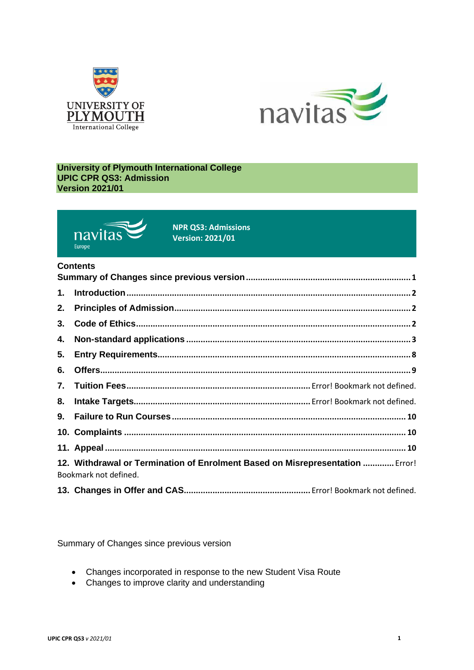



#### **University of Plymouth International College UPIC CPR QS3: Admission Version 2021/01**



**NPR QS3: Admissions Version: 2021/01**

# **Contents**

| 1. |                                                                                                        |  |  |  |
|----|--------------------------------------------------------------------------------------------------------|--|--|--|
| 2. |                                                                                                        |  |  |  |
| 3. |                                                                                                        |  |  |  |
| 4. |                                                                                                        |  |  |  |
| 5. |                                                                                                        |  |  |  |
| 6. |                                                                                                        |  |  |  |
|    |                                                                                                        |  |  |  |
|    |                                                                                                        |  |  |  |
|    |                                                                                                        |  |  |  |
|    |                                                                                                        |  |  |  |
|    |                                                                                                        |  |  |  |
|    | 12. Withdrawal or Termination of Enrolment Based on Misrepresentation  Error!<br>Bookmark not defined. |  |  |  |
|    |                                                                                                        |  |  |  |

<span id="page-0-0"></span>Summary of Changes since previous version

- Changes incorporated in response to the new Student Visa Route
- Changes to improve clarity and understanding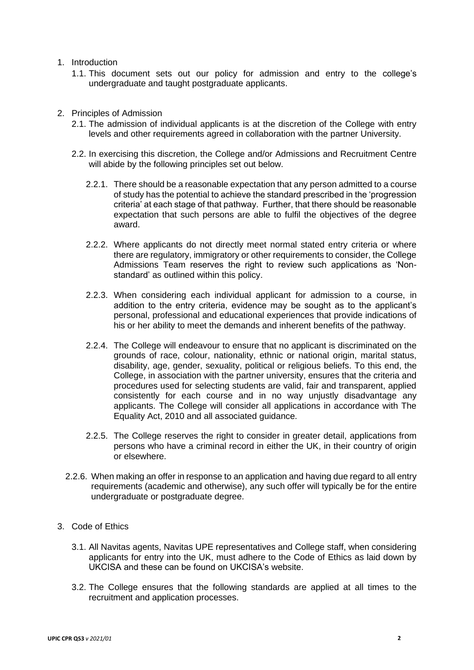- <span id="page-1-0"></span>1. Introduction
	- 1.1. This document sets out our policy for admission and entry to the college's undergraduate and taught postgraduate applicants.
- <span id="page-1-1"></span>2. Principles of Admission
	- 2.1. The admission of individual applicants is at the discretion of the College with entry levels and other requirements agreed in collaboration with the partner University.
	- 2.2. In exercising this discretion, the College and/or Admissions and Recruitment Centre will abide by the following principles set out below.
		- 2.2.1. There should be a reasonable expectation that any person admitted to a course of study has the potential to achieve the standard prescribed in the 'progression criteria' at each stage of that pathway. Further, that there should be reasonable expectation that such persons are able to fulfil the objectives of the degree award.
		- 2.2.2. Where applicants do not directly meet normal stated entry criteria or where there are regulatory, immigratory or other requirements to consider, the College Admissions Team reserves the right to review such applications as 'Nonstandard' as outlined within this policy.
		- 2.2.3. When considering each individual applicant for admission to a course, in addition to the entry criteria, evidence may be sought as to the applicant's personal, professional and educational experiences that provide indications of his or her ability to meet the demands and inherent benefits of the pathway.
		- 2.2.4. The College will endeavour to ensure that no applicant is discriminated on the grounds of race, colour, nationality, ethnic or national origin, marital status, disability, age, gender, sexuality, political or religious beliefs. To this end, the College, in association with the partner university, ensures that the criteria and procedures used for selecting students are valid, fair and transparent, applied consistently for each course and in no way unjustly disadvantage any applicants. The College will consider all applications in accordance with The Equality Act, 2010 and all associated guidance.
		- 2.2.5. The College reserves the right to consider in greater detail, applications from persons who have a criminal record in either the UK, in their country of origin or elsewhere.
	- 2.2.6. When making an offer in response to an application and having due regard to all entry requirements (academic and otherwise), any such offer will typically be for the entire undergraduate or postgraduate degree.
- <span id="page-1-2"></span>3. Code of Ethics
	- 3.1. All Navitas agents, Navitas UPE representatives and College staff, when considering applicants for entry into the UK, must adhere to the Code of Ethics as laid down by UKCISA and these can be found on UKCISA's website.
	- 3.2. The College ensures that the following standards are applied at all times to the recruitment and application processes.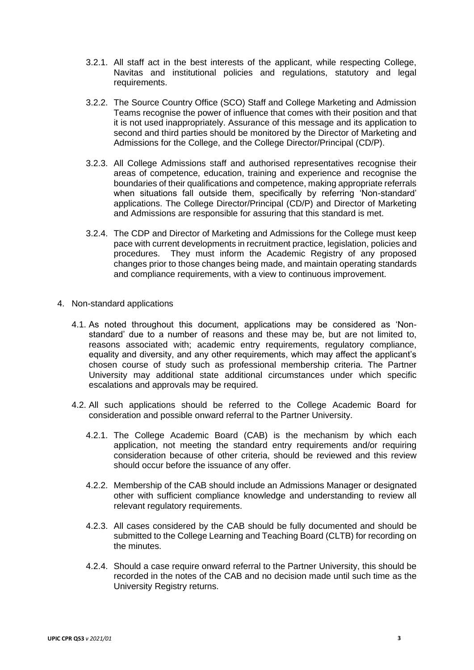- 3.2.1. All staff act in the best interests of the applicant, while respecting College, Navitas and institutional policies and regulations, statutory and legal requirements.
- 3.2.2. The Source Country Office (SCO) Staff and College Marketing and Admission Teams recognise the power of influence that comes with their position and that it is not used inappropriately. Assurance of this message and its application to second and third parties should be monitored by the Director of Marketing and Admissions for the College, and the College Director/Principal (CD/P).
- 3.2.3. All College Admissions staff and authorised representatives recognise their areas of competence, education, training and experience and recognise the boundaries of their qualifications and competence, making appropriate referrals when situations fall outside them, specifically by referring 'Non-standard' applications. The College Director/Principal (CD/P) and Director of Marketing and Admissions are responsible for assuring that this standard is met.
- 3.2.4. The CDP and Director of Marketing and Admissions for the College must keep pace with current developments in recruitment practice, legislation, policies and procedures. They must inform the Academic Registry of any proposed changes prior to those changes being made, and maintain operating standards and compliance requirements, with a view to continuous improvement.
- <span id="page-2-0"></span>4. Non-standard applications
	- 4.1. As noted throughout this document, applications may be considered as 'Nonstandard' due to a number of reasons and these may be, but are not limited to, reasons associated with; academic entry requirements, regulatory compliance, equality and diversity, and any other requirements, which may affect the applicant's chosen course of study such as professional membership criteria. The Partner University may additional state additional circumstances under which specific escalations and approvals may be required.
	- 4.2. All such applications should be referred to the College Academic Board for consideration and possible onward referral to the Partner University.
		- 4.2.1. The College Academic Board (CAB) is the mechanism by which each application, not meeting the standard entry requirements and/or requiring consideration because of other criteria, should be reviewed and this review should occur before the issuance of any offer.
		- 4.2.2. Membership of the CAB should include an Admissions Manager or designated other with sufficient compliance knowledge and understanding to review all relevant regulatory requirements.
		- 4.2.3. All cases considered by the CAB should be fully documented and should be submitted to the College Learning and Teaching Board (CLTB) for recording on the minutes.
		- 4.2.4. Should a case require onward referral to the Partner University, this should be recorded in the notes of the CAB and no decision made until such time as the University Registry returns.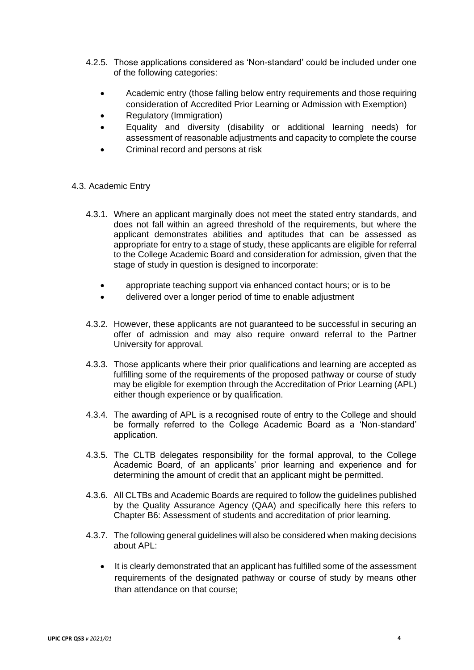- 4.2.5. Those applications considered as 'Non-standard' could be included under one of the following categories:
	- Academic entry (those falling below entry requirements and those requiring consideration of Accredited Prior Learning or Admission with Exemption)
	- Regulatory (Immigration)
	- Equality and diversity (disability or additional learning needs) for assessment of reasonable adjustments and capacity to complete the course
	- Criminal record and persons at risk

### 4.3. Academic Entry

- 4.3.1. Where an applicant marginally does not meet the stated entry standards, and does not fall within an agreed threshold of the requirements, but where the applicant demonstrates abilities and aptitudes that can be assessed as appropriate for entry to a stage of study, these applicants are eligible for referral to the College Academic Board and consideration for admission, given that the stage of study in question is designed to incorporate:
	- appropriate teaching support via enhanced contact hours; or is to be
	- delivered over a longer period of time to enable adjustment
- 4.3.2. However, these applicants are not guaranteed to be successful in securing an offer of admission and may also require onward referral to the Partner University for approval.
- 4.3.3. Those applicants where their prior qualifications and learning are accepted as fulfilling some of the requirements of the proposed pathway or course of study may be eligible for exemption through the Accreditation of Prior Learning (APL) either though experience or by qualification.
- 4.3.4. The awarding of APL is a recognised route of entry to the College and should be formally referred to the College Academic Board as a 'Non-standard' application.
- 4.3.5. The CLTB delegates responsibility for the formal approval, to the College Academic Board, of an applicants' prior learning and experience and for determining the amount of credit that an applicant might be permitted.
- 4.3.6. All CLTBs and Academic Boards are required to follow the guidelines published by the Quality Assurance Agency (QAA) and specifically here this refers to Chapter B6: Assessment of students and accreditation of prior learning.
- 4.3.7. The following general guidelines will also be considered when making decisions about APL:
	- It is clearly demonstrated that an applicant has fulfilled some of the assessment requirements of the designated pathway or course of study by means other than attendance on that course;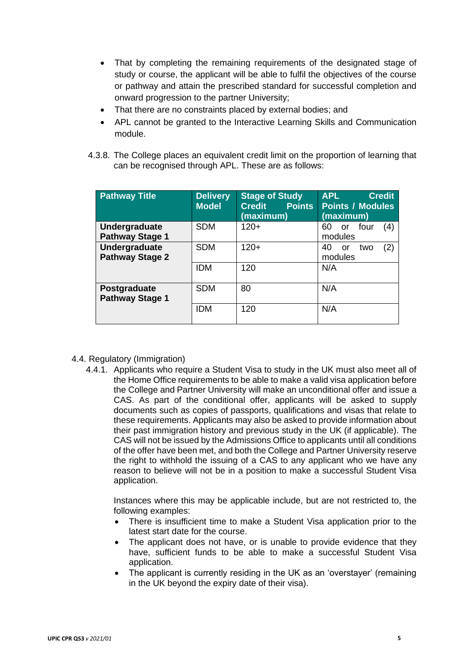- That by completing the remaining requirements of the designated stage of study or course, the applicant will be able to fulfil the objectives of the course or pathway and attain the prescribed standard for successful completion and onward progression to the partner University;
- That there are no constraints placed by external bodies; and
- APL cannot be granted to the Interactive Learning Skills and Communication module.
- 4.3.8. The College places an equivalent credit limit on the proportion of learning that can be recognised through APL. These are as follows:

| <b>Pathway Title</b>                    | <b>Delivery</b><br><b>Model</b> | <b>Stage of Study</b><br><b>Points</b><br><b>Credit</b><br>(maximum) | <b>APL</b><br><b>Credit</b><br><b>Points / Modules</b><br>(maximum) |
|-----------------------------------------|---------------------------------|----------------------------------------------------------------------|---------------------------------------------------------------------|
| Undergraduate<br><b>Pathway Stage 1</b> | <b>SDM</b>                      | $120+$                                                               | four<br>(4)<br>60<br><sub>or</sub><br>modules                       |
| Undergraduate<br><b>Pathway Stage 2</b> | <b>SDM</b>                      | $120+$                                                               | (2)<br>40<br>two<br>or<br>modules                                   |
|                                         | <b>IDM</b>                      | 120                                                                  | N/A                                                                 |
| Postgraduate<br><b>Pathway Stage 1</b>  | <b>SDM</b>                      | 80                                                                   | N/A                                                                 |
|                                         | <b>IDM</b>                      | 120                                                                  | N/A                                                                 |

#### 4.4. Regulatory (Immigration)

4.4.1. Applicants who require a Student Visa to study in the UK must also meet all of the Home Office requirements to be able to make a valid visa application before the College and Partner University will make an unconditional offer and issue a CAS. As part of the conditional offer, applicants will be asked to supply documents such as copies of passports, qualifications and visas that relate to these requirements. Applicants may also be asked to provide information about their past immigration history and previous study in the UK (if applicable). The CAS will not be issued by the Admissions Office to applicants until all conditions of the offer have been met, and both the College and Partner University reserve the right to withhold the issuing of a CAS to any applicant who we have any reason to believe will not be in a position to make a successful Student Visa application.

Instances where this may be applicable include, but are not restricted to, the following examples:

- There is insufficient time to make a Student Visa application prior to the latest start date for the course.
- The applicant does not have, or is unable to provide evidence that they have, sufficient funds to be able to make a successful Student Visa application.
- The applicant is currently residing in the UK as an 'overstaver' (remaining in the UK beyond the expiry date of their visa).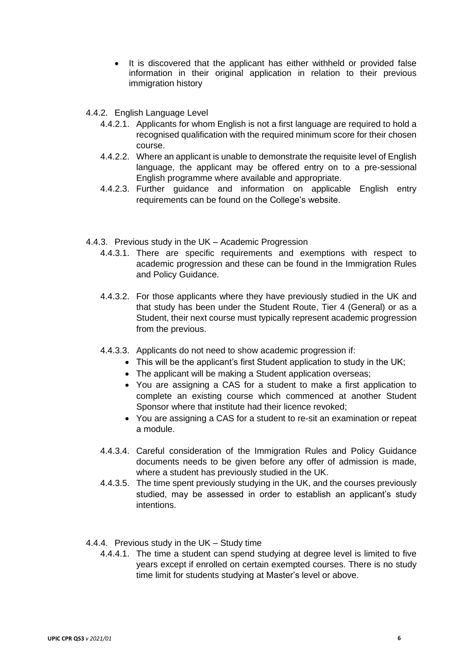- It is discovered that the applicant has either withheld or provided false information in their original application in relation to their previous immigration history
- 4.4.2. English Language Level
	- 4.4.2.1. Applicants for whom English is not a first language are required to hold a recognised qualification with the required minimum score for their chosen course.
	- 4.4.2.2. Where an applicant is unable to demonstrate the requisite level of English language, the applicant may be offered entry on to a pre-sessional English programme where available and appropriate.
	- 4.4.2.3. Further guidance and information on applicable English entry requirements can be found on the College's website.
- 4.4.3. Previous study in the UK Academic Progression
	- 4.4.3.1. There are specific requirements and exemptions with respect to academic progression and these can be found in the Immigration Rules and Policy Guidance.
	- 4.4.3.2. For those applicants where they have previously studied in the UK and that study has been under the Student Route, Tier 4 (General) or as a Student, their next course must typically represent academic progression from the previous.
	- 4.4.3.3. Applicants do not need to show academic progression if:
		- This will be the applicant's first Student application to study in the UK;
		- The applicant will be making a Student application overseas;
		- You are assigning a CAS for a student to make a first application to complete an existing course which commenced at another Student Sponsor where that institute had their licence revoked;
		- You are assigning a CAS for a student to re-sit an examination or repeat a module.
	- 4.4.3.4. Careful consideration of the Immigration Rules and Policy Guidance documents needs to be given before any offer of admission is made, where a student has previously studied in the UK.
	- 4.4.3.5. The time spent previously studying in the UK, and the courses previously studied, may be assessed in order to establish an applicant's study intentions.
- 4.4.4. Previous study in the UK Study time
	- 4.4.4.1. The time a student can spend studying at degree level is limited to five years except if enrolled on certain exempted courses. There is no study time limit for students studying at Master's level or above.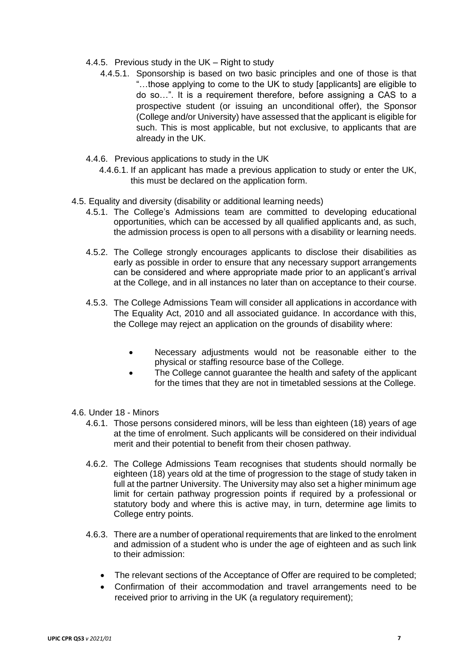- 4.4.5. Previous study in the UK Right to study
	- 4.4.5.1. Sponsorship is based on two basic principles and one of those is that "…those applying to come to the UK to study [applicants] are eligible to do so…". It is a requirement therefore, before assigning a CAS to a prospective student (or issuing an unconditional offer), the Sponsor (College and/or University) have assessed that the applicant is eligible for such. This is most applicable, but not exclusive, to applicants that are already in the UK.
- 4.4.6. Previous applications to study in the UK
	- 4.4.6.1. If an applicant has made a previous application to study or enter the UK, this must be declared on the application form.
- 4.5. Equality and diversity (disability or additional learning needs)
	- 4.5.1. The College's Admissions team are committed to developing educational opportunities, which can be accessed by all qualified applicants and, as such, the admission process is open to all persons with a disability or learning needs.
	- 4.5.2. The College strongly encourages applicants to disclose their disabilities as early as possible in order to ensure that any necessary support arrangements can be considered and where appropriate made prior to an applicant's arrival at the College, and in all instances no later than on acceptance to their course.
	- 4.5.3. The College Admissions Team will consider all applications in accordance with The Equality Act, 2010 and all associated guidance. In accordance with this, the College may reject an application on the grounds of disability where:
		- Necessary adjustments would not be reasonable either to the physical or staffing resource base of the College.
		- The College cannot guarantee the health and safety of the applicant for the times that they are not in timetabled sessions at the College.
- 4.6. Under 18 Minors
	- 4.6.1. Those persons considered minors, will be less than eighteen (18) years of age at the time of enrolment. Such applicants will be considered on their individual merit and their potential to benefit from their chosen pathway.
	- 4.6.2. The College Admissions Team recognises that students should normally be eighteen (18) years old at the time of progression to the stage of study taken in full at the partner University. The University may also set a higher minimum age limit for certain pathway progression points if required by a professional or statutory body and where this is active may, in turn, determine age limits to College entry points.
	- 4.6.3. There are a number of operational requirements that are linked to the enrolment and admission of a student who is under the age of eighteen and as such link to their admission:
		- The relevant sections of the Acceptance of Offer are required to be completed;
		- Confirmation of their accommodation and travel arrangements need to be received prior to arriving in the UK (a regulatory requirement);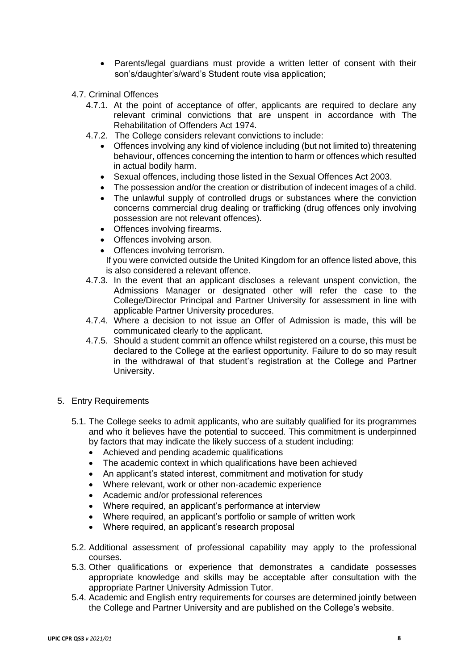- Parents/legal guardians must provide a written letter of consent with their son's/daughter's/ward's Student route visa application;
- 4.7. Criminal Offences
	- 4.7.1. At the point of acceptance of offer, applicants are required to declare any relevant criminal convictions that are unspent in accordance with The Rehabilitation of Offenders Act 1974.
	- 4.7.2. The College considers relevant convictions to include:
		- Offences involving any kind of violence including (but not limited to) threatening behaviour, offences concerning the intention to harm or offences which resulted in actual bodily harm.
		- Sexual offences, including those listed in the Sexual Offences Act 2003.
		- The possession and/or the creation or distribution of indecent images of a child.
		- The unlawful supply of controlled drugs or substances where the conviction concerns commercial drug dealing or trafficking (drug offences only involving possession are not relevant offences).
		- Offences involving firearms.
		- Offences involving arson.
		- Offences involving terrorism.

If you were convicted outside the United Kingdom for an offence listed above, this is also considered a relevant offence.

- 4.7.3. In the event that an applicant discloses a relevant unspent conviction, the Admissions Manager or designated other will refer the case to the College/Director Principal and Partner University for assessment in line with applicable Partner University procedures.
- 4.7.4. Where a decision to not issue an Offer of Admission is made, this will be communicated clearly to the applicant.
- 4.7.5. Should a student commit an offence whilst registered on a course, this must be declared to the College at the earliest opportunity. Failure to do so may result in the withdrawal of that student's registration at the College and Partner University.
- <span id="page-7-0"></span>5. Entry Requirements
	- 5.1. The College seeks to admit applicants, who are suitably qualified for its programmes and who it believes have the potential to succeed. This commitment is underpinned by factors that may indicate the likely success of a student including:
		- Achieved and pending academic qualifications
		- The academic context in which qualifications have been achieved
		- An applicant's stated interest, commitment and motivation for study
		- Where relevant, work or other non-academic experience
		- Academic and/or professional references
		- Where required, an applicant's performance at interview
		- Where required, an applicant's portfolio or sample of written work
		- Where required, an applicant's research proposal
	- 5.2. Additional assessment of professional capability may apply to the professional courses.
	- 5.3. Other qualifications or experience that demonstrates a candidate possesses appropriate knowledge and skills may be acceptable after consultation with the appropriate Partner University Admission Tutor.
	- 5.4. Academic and English entry requirements for courses are determined jointly between the College and Partner University and are published on the College's website.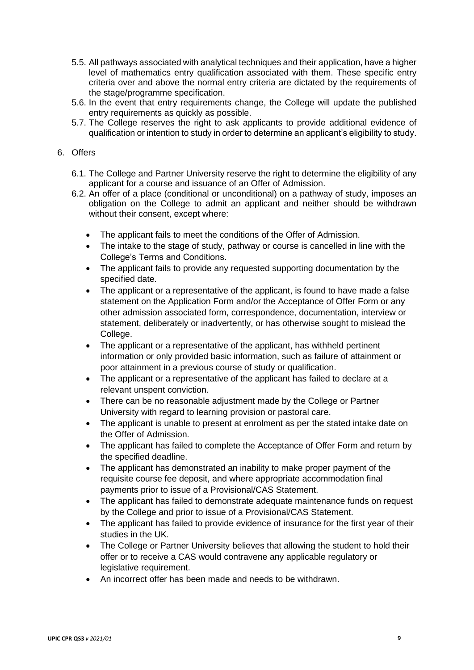- 5.5. All pathways associated with analytical techniques and their application, have a higher level of mathematics entry qualification associated with them. These specific entry criteria over and above the normal entry criteria are dictated by the requirements of the stage/programme specification.
- 5.6. In the event that entry requirements change, the College will update the published entry requirements as quickly as possible.
- 5.7. The College reserves the right to ask applicants to provide additional evidence of qualification or intention to study in order to determine an applicant's eligibility to study.

## <span id="page-8-0"></span>6. Offers

- 6.1. The College and Partner University reserve the right to determine the eligibility of any applicant for a course and issuance of an Offer of Admission.
- 6.2. An offer of a place (conditional or unconditional) on a pathway of study, imposes an obligation on the College to admit an applicant and neither should be withdrawn without their consent, except where:
	- The applicant fails to meet the conditions of the Offer of Admission.
	- The intake to the stage of study, pathway or course is cancelled in line with the College's Terms and Conditions.
	- The applicant fails to provide any requested supporting documentation by the specified date.
	- The applicant or a representative of the applicant, is found to have made a false statement on the Application Form and/or the Acceptance of Offer Form or any other admission associated form, correspondence, documentation, interview or statement, deliberately or inadvertently, or has otherwise sought to mislead the College.
	- The applicant or a representative of the applicant, has withheld pertinent information or only provided basic information, such as failure of attainment or poor attainment in a previous course of study or qualification.
	- The applicant or a representative of the applicant has failed to declare at a relevant unspent conviction.
	- There can be no reasonable adjustment made by the College or Partner University with regard to learning provision or pastoral care.
	- The applicant is unable to present at enrolment as per the stated intake date on the Offer of Admission.
	- The applicant has failed to complete the Acceptance of Offer Form and return by the specified deadline.
	- The applicant has demonstrated an inability to make proper payment of the requisite course fee deposit, and where appropriate accommodation final payments prior to issue of a Provisional/CAS Statement.
	- The applicant has failed to demonstrate adequate maintenance funds on request by the College and prior to issue of a Provisional/CAS Statement.
	- The applicant has failed to provide evidence of insurance for the first year of their studies in the UK.
	- The College or Partner University believes that allowing the student to hold their offer or to receive a CAS would contravene any applicable regulatory or legislative requirement.
	- An incorrect offer has been made and needs to be withdrawn.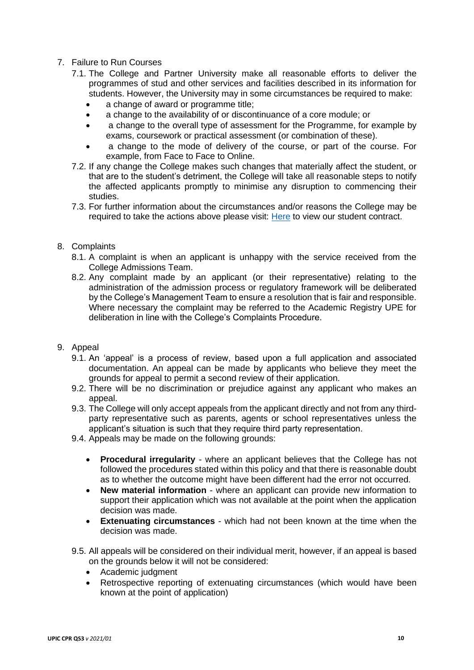- <span id="page-9-0"></span>7. Failure to Run Courses
	- 7.1. The College and Partner University make all reasonable efforts to deliver the programmes of stud and other services and facilities described in its information for students. However, the University may in some circumstances be required to make:
		- a change of award or programme title;
		- a change to the availability of or discontinuance of a core module; or
		- a change to the overall type of assessment for the Programme, for example by exams, coursework or practical assessment (or combination of these).
		- a change to the mode of delivery of the course, or part of the course. For example, from Face to Face to Online.
	- 7.2. If any change the College makes such changes that materially affect the student, or that are to the student's detriment, the College will take all reasonable steps to notify the affected applicants promptly to minimise any disruption to commencing their studies.
	- 7.3. For further information about the circumstances and/or reasons the College may be required to take the actions above please visit: [Here](https://8d3006c2695de0963bf6-22de10e2385855a4cfe2d47af6236f0c.ssl.cf6.rackcdn.com/UPIC_offer_packs_T&C_online.pdf) to view our student contract.

### <span id="page-9-1"></span>8. Complaints

- 8.1. A complaint is when an applicant is unhappy with the service received from the College Admissions Team.
- 8.2. Any complaint made by an applicant (or their representative) relating to the administration of the admission process or regulatory framework will be deliberated by the College's Management Team to ensure a resolution that is fair and responsible. Where necessary the complaint may be referred to the Academic Registry UPE for deliberation in line with the College's Complaints Procedure.

#### <span id="page-9-2"></span>9. Appeal

- 9.1. An 'appeal' is a process of review, based upon a full application and associated documentation. An appeal can be made by applicants who believe they meet the grounds for appeal to permit a second review of their application.
- 9.2. There will be no discrimination or prejudice against any applicant who makes an appeal.
- 9.3. The College will only accept appeals from the applicant directly and not from any thirdparty representative such as parents, agents or school representatives unless the applicant's situation is such that they require third party representation.
- 9.4. Appeals may be made on the following grounds:
	- **Procedural irregularity** where an applicant believes that the College has not followed the procedures stated within this policy and that there is reasonable doubt as to whether the outcome might have been different had the error not occurred.
	- **New material information** where an applicant can provide new information to support their application which was not available at the point when the application decision was made.
	- **Extenuating circumstances** which had not been known at the time when the decision was made.
- 9.5. All appeals will be considered on their individual merit, however, if an appeal is based on the grounds below it will not be considered:
	- Academic judgment
	- Retrospective reporting of extenuating circumstances (which would have been known at the point of application)